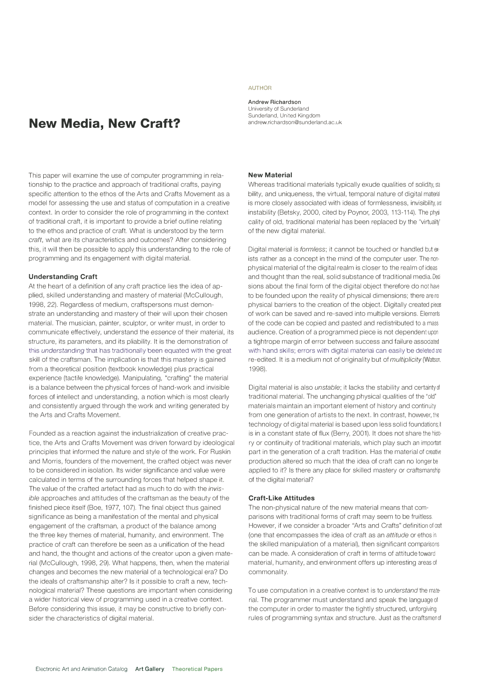# **New Media, New Craft?**

This paper will examine the use of computer programming in relationship to the practice and approach of traditional crafts, paying specific attention to the ethos of the Arts and Crafts Movement as a model for assessing the use and status of computation in a creative context. In order to consider the role of programming in the context of traditional craft, it is important to provide a brief outline relating to the ethos and practice of craft. What is understood by the term *craft,* what are its characteristics and outcomes? After considering this, it will then be possible to apply this understanding to the role of programming and its engagement with digital material.

# **Understanding Craft**

At the heart of a definition of any craft practice lies the idea of applied, skilled understanding and mastery of material (McCullough, 1998, 22). Regardless of medium, craftspersons must demonstrate an understanding and mastery of their will upon their chosen material. The musician, painter, sculptor, or writer must, in order to communicate effectively, understand the *essence* of their material, its structure, its parameters, and its pliability. It is the demonstration of this *understanding* that has traditionally been equated with the great skill of the craftsman. The implication is that this mastery is gained from a theoretical position (textbook knowledge) plus practical experience (tactile knowledge). Manipulating, "crafting" the material is a balance between the physical forces of hand-work and invisible forces of intellect and understanding, a notion which is most clearly and consistently argued through the work and writing generated by the Arts and Crafts Movement.

Founded as a reaction against the industrialization of creative practice, the Arts and Crafts Movement was driven forward by ideological principles that informed the nature and style of the work. For Ruskin and Morris, founders of the movement, the crafted object was never to be considered in isolation. Its wider significance and value were calculated in terms of the surrounding forces that helped shape it. The value of the crafted artefact had as much to do with the *invisible* approaches and attitudes of the craftsman as the beauty of the finished piece itself (Boe, 1977, 107). The final object thus gained significance as being a manifestation of the mental and physical engagement of the craftsman, a product of the balance among the three key themes of material, humanity, and environment. The practice of craft can therefore be seen as a unification of the head and hand, the thought and actions of the creator upon a given material (McCullough, 1998, 29). What happens, then, when the material changes and becomes the new material of a technological era? Do the ideals of craftsmanship alter? Is it possible to craft a new, technological material? These questions are important when considering a wider historical view of programming used in a creative context. Before considering this issue, it may be constructive to briefly consider the characteristics of digital material.

#### **AUTHOR**

**Andrew Richardson**  University of Sunderland Sunderland, United Kingdom andrew.richardson@sunderland.ac.uk

# **New Material**

Whereas traditional materials typically exude qualities of solidity, sta bility, and uniqueness, the virtual, temporal nature of digital material is more closely associated with ideas of formlessness, invisibility, and instability (Betsky, 2000, cited by Poynor, 2003, 113-114). The physi cality of old, traditional material has been replaced by the "virtuality' of the new digital material.

Digital material is *formless;* it cannot be touched or handled but ex· ists rather as a concept in the mind of the computer user. The nonphysical material of the digital realm is closer to the realm of ideas and thought than the real, solid substance of traditional media. Deci sions about the final form of the digital object therefore do not have to be founded upon the reality of physical dimensions; there are no physical barriers to the creation of the object. Digitally created piecs of work can be saved and re-saved into multiple versions. Elements of the code can be copied and pasted and redistributed to a mass audience. Creation of a programmed piece is not dependent upon a tightrope margin of error between success and failure associated with hand skills; errors with digital material can easily be deleted and re-edited. It is a medium not of originality but of *multiplicity* (Watson. 1998).

Digital material is also *unstable;* it lacks the stability and certaintyol traditional material. The unchanging physical qualities of the "old" materials maintain an important element of history and continuity from one generation of artists to the next. In contrast, however, the technology of digital material is based upon less solid foundations; it is in a constant state of flux (Berry, 2001). It does not share the history or continuity of traditional materials, which play such an important part in the generation of a craft tradition. Has the material of creative production altered so much that the idea of craft can no longer be applied to it? Is there any place for skilled mastery or craftsmanship of the digital material?

## **Craft-Like Attitudes**

The non-physical nature of the new material means that comparisons with traditional forms of craft may seem to be fruitless. However, if we consider a broader "Arts and Crafts" definition of craft (one that encompasses the idea of craft as an *attitude* or ethos in the skilled manipulation of a material), then significant comparisons can be made. A consideration of craft in terms of attitude toward material, humanity, and environment offers up interesting areas of commonality.

To use computation in a creative context is to *understand* the material. The programmer must understand and speak the language of the computer in order to master the tightly structured, unforgiving rules of programming syntax and structure. Just as the craftsmen of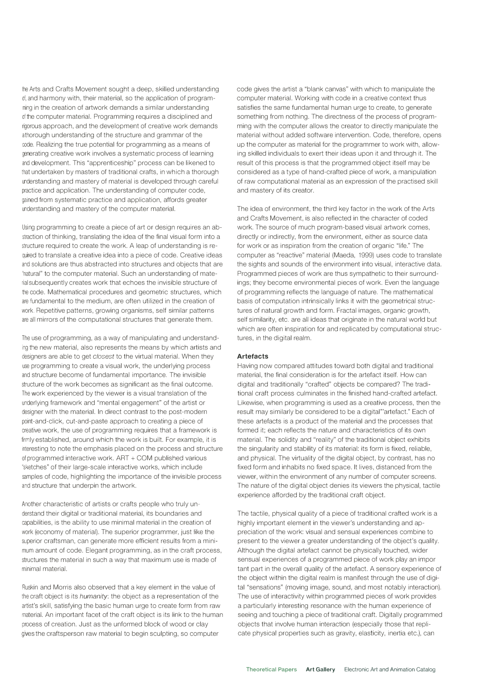the Arts and Crafts Movement sought a deep, skilled understanding of, and harmony with, their material, so the application of programming in the creation of artwork demands a similar understanding of the computer material. Programming requires a disciplined and rigorous approach, and the development of creative work demands athorough understanding of the structure and grammar of the code. Realizing the true potential for programming as a means of generating creative work involves a systematic process of learning and development. This "apprenticeship" process can be likened to that undertaken by masters of traditional crafts, in which a thorough understanding and mastery of material is developed through careful practice and application. The understanding of computer code, gained from systematic practice and application, affords greater understanding and mastery of the computer material.

Using programming to create a piece of art or design requires an abstraction of thinking, translating the idea of the final visual form into a structure required to create the work. A leap of understanding is required to translate a creative idea into a piece of code. Creative ideas and solutions are thus abstracted into structures and objects that are "natural" to the computer material. Such an understanding of material subsequently creates work that echoes the invisible structure of the code. Mathematical procedures and geometric structures, which are fundamental to the medium, are often utilized in the creation of work. Repetitive patterns, growing organisms, self-similar patterns are all mirrors of the computational structures that generate them.

The use of programming, as a way of manipulating and understanding the new material, also represents the means by which artists and designers are able to get closest to the virtual material. When they use programming to create a visual work, the underlying process and structure become of fundamental importance. The invisible structure of the work becomes as significant as the final outcome. The work experienced by the viewer is a visual translation of the underlying framework and "mental engagement" of the artist or designer with the material. In direct contrast to the post-modern point-and-click, cut-and-paste approach to creating a piece of creative work, the use of programming requires that a framework is firmly established, around which the work is built. For example, it is interesting to note the emphasis placed on the process and structure of programmed interactive work. ART + COM published various "sketches" of their large-scale interactive works, which include samples of code, highlighting the importance of the invisible process and structure that underpin the artwork.

Another characteristic of artists or crafts people who truly understand their digital or traditional material, its boundaries and capabilities, is the ability to use minimal material in the creation of work (economy of material). The superior programmer, just like the superior craftsman, can generate more efficient results from a minimum amount of code. Elegant programming, as in the craft process, structures the material in such a way that maximum use is made of minimal material.

Ruskin and Morris also observed that a key element in the value of the craft object is its *humanity:* the object as a representation of the artist's skill, satisfying the basic human urge to create form from raw material. An important facet of the craft object is its link to the human process of creation. Just as the unformed block of wood or clay gives the craftsperson raw material to begin sculpting, so computer

code gives the artist a "blank canvas" with which to manipulate the computer material. Working with code in a creative context thus satisfies the same fundamental human urge to create, to generate something from nothing. The directness of the process of programming with the computer allows the creator to directly manipulate the material without added software intervention. Code, therefore, opens up the computer as material for the programmer to work with, allowing skilled individuals to exert their ideas upon it and through it. The result of this process is that the programmed object itself may be considered as a type of hand-crafted piece of work, a manipulation of raw computational material as an expression of the practised skill and mastery of its creator.

The idea of environment, the third key factor in the work of the Arts and Crafts Movement, is also reflected in the character of coded work. The source of much program-based visual artwork comes, directly or indirectly, from the environment, either as source data for work or as inspiration from the creation of organic "life." The computer as "reactive" material (Maeda, 1999) uses code to translate the sights and sounds of the environment into visual, interactive data. Programmed pieces of work are thus sympathetic to their surroundings; they become environmental pieces of work. Even the language of programming reflects the language of nature. The mathematical basis of computation intrinsically links it with the geometrical structures of natural growth and form. Fractal images, organic growth, self similarity, etc. are all ideas that originate in the natural world but which are often inspiration for and replicated by computational structures, in the digital realm.

## **Artefacts**

Having now compared attitudes toward both digital and traditional material, the final consideration is for the artefact itself. How can digital and traditionally "crafted" objects be compared? The traditional craft process culminates in the finished hand-crafted artefact. Likewise, when programming is used as a creative process, then the result may similarly be considered to be a digital'"artefact." Each of these artefacts is a product of the material and the processes that formed it; each reflects the nature and characteristics of its own material. The solidity and "reality" of the traditional object exhibits the singularity and stability of its material: its form is fixed, reliable, and physical. The virtuality of the digital object, by contrast, has no fixed form and inhabits no fixed space. It lives, distanced from the viewer, within the environment of any number of computer screens. The nature of the digital object denies its viewers the physical, tactile experience afforded by the traditional craft object.

The tactile, physical quality of a piece of traditional crafted work is a highly important element in the viewer's understanding and appreciation of the work: visual and sensual experiences combine to present to the viewer a greater understanding of the object's quality. Although the digital artefact cannot be physically touched, wider sensual experiences of a programmed piece of work play an impor tant part in the overall quality of the artefact. A sensory experience of the object within the digital realm is manifest through the use of digital "sensations" (moving image, sound, and most notably interaction). The use of interactivity within programmed pieces of work provides a particularly interesting resonance with the human experience of seeing and touching a piece of traditional craft. Digitally programmed objects that involve human interaction (especially those that replicate physical properties such as gravity, elasticity, inertia etc.), can